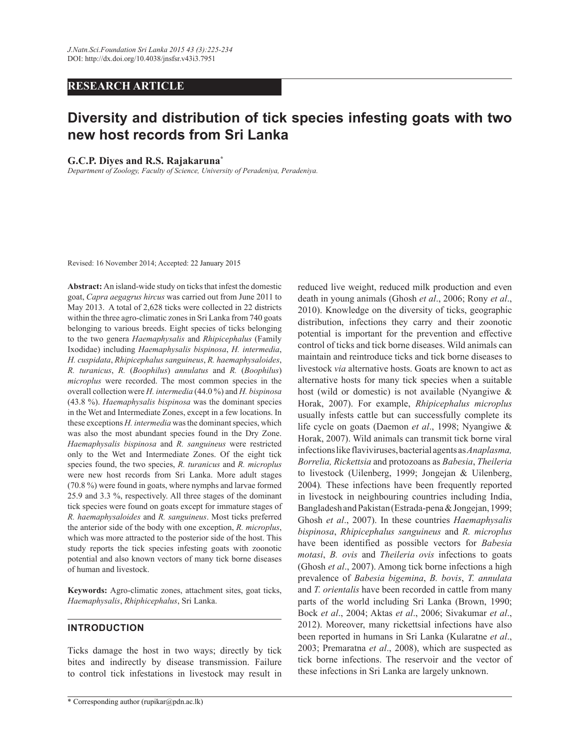# **RESEARCH ARTICLE**

# **Diversity and distribution of tick species infesting goats with two new host records from Sri Lanka**

#### **G.C.P. Diyes and R.S. Rajakaruna\***

*Department of Zoology, Faculty of Science, University of Peradeniya, Peradeniya.* 

Revised: 16 November 2014; Accepted: 22 January 2015

**Abstract:** An island-wide study on ticks that infest the domestic goat, *Capra aegagrus hircus* was carried out from June 2011 to May 2013. A total of 2,628 ticks were collected in 22 districts within the three agro-climatic zones in Sri Lanka from 740 goats belonging to various breeds. Eight species of ticks belonging to the two genera *Haemaphysalis* and *Rhipicephalus* (Family Ixodidae) including *Haemaphysalis bispinosa*, *H. intermedia*, *H. cuspidata*, *Rhipicephalus sanguineus*, *R. haemaphysaloides*, *R. turanicus*, *R.* (*Boophilus*) *annulatus* and *R.* (*Boophilus*) *microplus* were recorded. The most common species in the overall collection were *H. intermedia* (44.0 %) and *H. bispinosa*  (43.8 %). *Haemaphysalis bispinosa* was the dominant species in the Wet and Intermediate Zones, except in a few locations. In these exceptions *H. intermedia* was the dominant species, which was also the most abundant species found in the Dry Zone. *Haemaphysalis bispinosa* and *R. sanguineus* were restricted only to the Wet and Intermediate Zones. Of the eight tick species found, the two species, *R. turanicus* and *R. microplus* were new host records from Sri Lanka. More adult stages (70.8 %) were found in goats, where nymphs and larvae formed 25.9 and 3.3 %, respectively. All three stages of the dominant tick species were found on goats except for immature stages of *R. haemaphysaloides* and *R. sanguineus*. Most ticks preferred the anterior side of the body with one exception, *R. microplus*, which was more attracted to the posterior side of the host. This study reports the tick species infesting goats with zoonotic potential and also known vectors of many tick borne diseases of human and livestock.

**Keywords:** Agro-climatic zones, attachment sites, goat ticks, *Haemaphysalis*, *Rhiphicephalus*, Sri Lanka.

## **INTRODUCTION**

Ticks damage the host in two ways; directly by tick bites and indirectly by disease transmission. Failure to control tick infestations in livestock may result in reduced live weight, reduced milk production and even death in young animals (Ghosh *et al*., 2006; Rony *et al*., 2010). Knowledge on the diversity of ticks, geographic distribution, infections they carry and their zoonotic potential is important for the prevention and effective control of ticks and tick borne diseases. Wild animals can maintain and reintroduce ticks and tick borne diseases to livestock *via* alternative hosts. Goats are known to act as alternative hosts for many tick species when a suitable host (wild or domestic) is not available (Nyangiwe & Horak, 2007). For example, *Rhipicephalus microplus*  usually infests cattle but can successfully complete its life cycle on goats (Daemon *et al*., 1998; Nyangiwe & Horak, 2007). Wild animals can transmit tick borne viral infections like flaviviruses, bacterial agents as *Anaplasma, Borrelia, Rickettsia* and protozoans as *Babesia*, *Theileria* to livestock (Uilenberg, 1999; Jongejan & Uilenberg, 2004)*.* These infections have been frequently reported in livestock in neighbouring countries including India, Bangladesh and Pakistan (Estrada-pena & Jongejan, 1999; Ghosh *et al*., 2007). In these countries *Haemaphysalis bispinosa*, *Rhipicephalus sanguineus* and *R. microplus*  have been identified as possible vectors for *Babesia motasi*, *B. ovis* and *Theileria ovis* infections to goats (Ghosh *et al*., 2007). Among tick borne infections a high prevalence of *Babesia bigemina*, *B. bovis*, *T. annulata*  and *T. orientalis* have been recorded in cattle from many parts of the world including Sri Lanka (Brown, 1990; Bock *et al*., 2004; Aktas *et al*., 2006; Sivakumar *et al*., 2012). Moreover, many rickettsial infections have also been reported in humans in Sri Lanka (Kularatne *et al*., 2003; Premaratna *et al*., 2008), which are suspected as tick borne infections. The reservoir and the vector of these infections in Sri Lanka are largely unknown.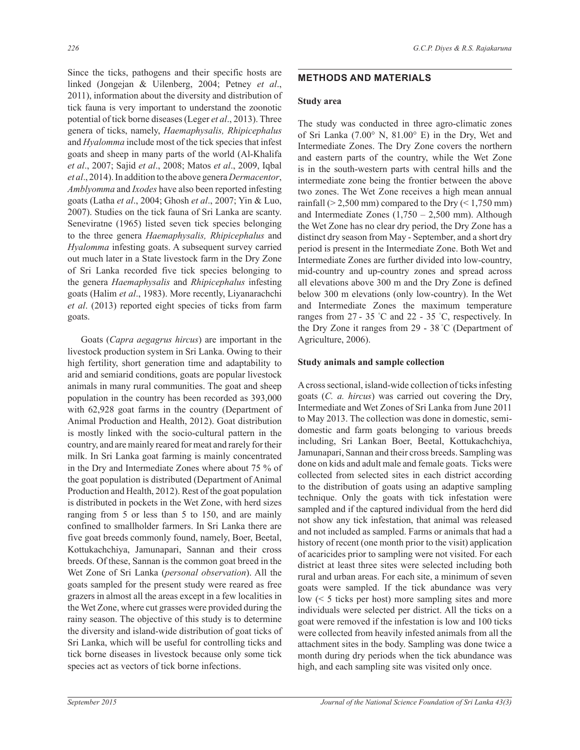Since the ticks, pathogens and their specific hosts are linked (Jongejan & Uilenberg, 2004; Petney *et al*., 2011), information about the diversity and distribution of tick fauna is very important to understand the zoonotic potential of tick borne diseases (Leger *et al*., 2013). Three genera of ticks, namely, *Haemaphysalis, Rhipicephalus* and *Hyalomma* include most of the tick species that infest goats and sheep in many parts of the world (Al-Khalifa *et al*., 2007; Sajid *et al*., 2008; Matos *et al*., 2009, Iqbal *et al*., 2014). In addition to the above genera *Dermacentor*, *Amblyomma* and *Ixodes* have also been reported infesting goats (Latha *et al*., 2004; Ghosh *et al*., 2007; Yin & Luo, 2007). Studies on the tick fauna of Sri Lanka are scanty. Seneviratne (1965) listed seven tick species belonging to the three genera *Haemaphysalis, Rhipicephalus* and *Hyalomma* infesting goats. A subsequent survey carried out much later in a State livestock farm in the Dry Zone of Sri Lanka recorded five tick species belonging to the genera *Haemaphysalis* and *Rhipicephalus* infesting goats (Halim *et al*., 1983). More recently, Liyanarachchi *et al*. (2013) reported eight species of ticks from farm goats.

 Goats (*Capra aegagrus hircus*) are important in the livestock production system in Sri Lanka. Owing to their high fertility, short generation time and adaptability to arid and semiarid conditions, goats are popular livestock animals in many rural communities. The goat and sheep population in the country has been recorded as 393,000 with 62,928 goat farms in the country (Department of Animal Production and Health, 2012). Goat distribution is mostly linked with the socio-cultural pattern in the country, and are mainly reared for meat and rarely for their milk. In Sri Lanka goat farming is mainly concentrated in the Dry and Intermediate Zones where about 75 % of the goat population is distributed (Department of Animal Production and Health, 2012). Rest of the goat population is distributed in pockets in the Wet Zone, with herd sizes ranging from 5 or less than 5 to 150, and are mainly confined to smallholder farmers. In Sri Lanka there are five goat breeds commonly found, namely, Boer, Beetal, Kottukachchiya, Jamunapari, Sannan and their cross breeds. Of these, Sannan is the common goat breed in the Wet Zone of Sri Lanka (*personal observation*). All the goats sampled for the present study were reared as free grazers in almost all the areas except in a few localities in the Wet Zone, where cut grasses were provided during the rainy season. The objective of this study is to determine the diversity and island-wide distribution of goat ticks of Sri Lanka, which will be useful for controlling ticks and tick borne diseases in livestock because only some tick species act as vectors of tick borne infections.

## **METHODS AND MATERIALS**

#### **Study area**

The study was conducted in three agro-climatic zones of Sri Lanka (7.00° N, 81.00° E) in the Dry, Wet and Intermediate Zones. The Dry Zone covers the northern and eastern parts of the country, while the Wet Zone is in the south-western parts with central hills and the intermediate zone being the frontier between the above two zones. The Wet Zone receives a high mean annual rainfall ( $> 2,500$  mm) compared to the Dry ( $\leq 1,750$  mm) and Intermediate Zones  $(1,750 - 2,500)$  mm). Although the Wet Zone has no clear dry period, the Dry Zone has a distinct dry season from May - September, and a short dry period is present in the Intermediate Zone. Both Wet and Intermediate Zones are further divided into low-country, mid-country and up-country zones and spread across all elevations above 300 m and the Dry Zone is defined below 300 m elevations (only low-country). In the Wet and Intermediate Zones the maximum temperature ranges from  $27 - 35$  °C and  $22 - 35$  °C, respectively. In the Dry Zone it ranges from 29 - 38 °C (Department of Agriculture, 2006).

#### **Study animals and sample collection**

A cross sectional, island-wide collection of ticks infesting goats (*C. a. hircus*) was carried out covering the Dry, Intermediate and Wet Zones of Sri Lanka from June 2011 to May 2013. The collection was done in domestic, semidomestic and farm goats belonging to various breeds including, Sri Lankan Boer, Beetal, Kottukachchiya, Jamunapari, Sannan and their cross breeds. Sampling was done on kids and adult male and female goats. Ticks were collected from selected sites in each district according to the distribution of goats using an adaptive sampling technique. Only the goats with tick infestation were sampled and if the captured individual from the herd did not show any tick infestation, that animal was released and not included as sampled. Farms or animals that had a history of recent (one month prior to the visit) application of acaricides prior to sampling were not visited. For each district at least three sites were selected including both rural and urban areas. For each site, a minimum of seven goats were sampled. If the tick abundance was very low (< 5 ticks per host) more sampling sites and more individuals were selected per district. All the ticks on a goat were removed if the infestation is low and 100 ticks were collected from heavily infested animals from all the attachment sites in the body. Sampling was done twice a month during dry periods when the tick abundance was high, and each sampling site was visited only once.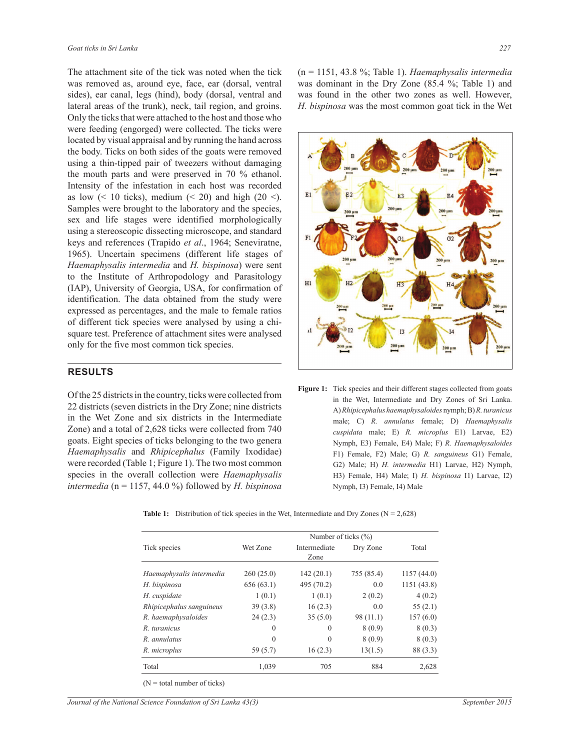The attachment site of the tick was noted when the tick was removed as, around eye, face, ear (dorsal, ventral sides), ear canal, legs (hind), body (dorsal, ventral and lateral areas of the trunk), neck, tail region, and groins. Only the ticks that were attached to the host and those who were feeding (engorged) were collected. The ticks were located by visual appraisal and by running the hand across the body. Ticks on both sides of the goats were removed using a thin-tipped pair of tweezers without damaging the mouth parts and were preserved in 70 % ethanol. Intensity of the infestation in each host was recorded as low  $\left($  < 10 ticks), medium  $\left($  < 20) and high (20 <). Samples were brought to the laboratory and the species, sex and life stages were identified morphologically using a stereoscopic dissecting microscope, and standard keys and references (Trapido *et al*., 1964; Seneviratne, 1965). Uncertain specimens (different life stages of *Haemaphysalis intermedia* and *H. bispinosa*) were sent to the Institute of Arthropodology and Parasitology (IAP), University of Georgia, USA, for confirmation of identification. The data obtained from the study were expressed as percentages, and the male to female ratios of different tick species were analysed by using a chisquare test. Preference of attachment sites were analysed only for the five most common tick species.

#### **RESULTS**

Of the 25 districts in the country, ticks were collected from 22 districts (seven districts in the Dry Zone; nine districts in the Wet Zone and six districts in the Intermediate Zone) and a total of 2,628 ticks were collected from 740 goats. Eight species of ticks belonging to the two genera *Haemaphysalis* and *Rhipicephalus* (Family Ixodidae) were recorded (Table 1; Figure 1). The two most common species in the overall collection were *Haemaphysalis intermedia* (n = 1157, 44.0 %) followed by *H. bispinosa*

(n = 1151, 43.8 %; Table 1). *Haemaphysalis intermedia*  was dominant in the Dry Zone (85.4 %; Table 1) and was found in the other two zones as well. However, *H. bispinosa* was the most common goat tick in the Wet



Figure 1: Tick species and their different stages collected from goats in the Wet, Intermediate and Dry Zones of Sri Lanka. A) *Rhipicephalus haemaphysaloides* nymph; B) *R. turanicus* male; C) *R. annulatus* female; D) *Haemaphysalis cuspidata* male; E) *R. microplus* E1) Larvae, E2) Nymph, E3) Female, E4) Male; F) *R. Haemaphysaloides*  F1) Female, F2) Male; G) *R. sanguineus* G1) Female, G2) Male; H) *H. intermedia* H1) Larvae, H2) Nymph, H3) Female, H4) Male; I) *H. bispinosa* I1) Larvae, I2) Nymph, I3) Female, I4) Male

|                          |           | Number of ticks $(\% )$ |            |             |
|--------------------------|-----------|-------------------------|------------|-------------|
| Tick species             | Wet Zone  | Intermediate<br>Zone    | Dry Zone   | Total       |
| Haemaphysalis intermedia | 260(25.0) | 142(20.1)               | 755 (85.4) | 1157(44.0)  |
| H. bispinosa             | 656(63.1) | 495 (70.2)              | 0.0        | 1151 (43.8) |
| H. cuspidate             | 1(0.1)    | 1(0.1)                  | 2(0.2)     | 4(0.2)      |
| Rhipicephalus sanguineus | 39(3.8)   | 16(2.3)                 | 0.0        | 55 $(2.1)$  |
| R. haemaphysaloides      | 24(2.3)   | 35(5.0)                 | 98 (11.1)  | 157(6.0)    |
| R. turanicus             | $\Omega$  | $\Omega$                | 8(0.9)     | 8(0.3)      |
| R. annulatus             | $\Omega$  | $\theta$                | 8(0.9)     | 8(0.3)      |
| R. microplus             | 59 (5.7)  | 16(2.3)                 | 13(1.5)    | 88 (3.3)    |
| Total                    | 1,039     | 705                     | 884        | 2,628       |

**Table 1:** Distribution of tick species in the Wet, Intermediate and Dry Zones  $(N = 2,628)$ 

 $(N = total number of ticks)$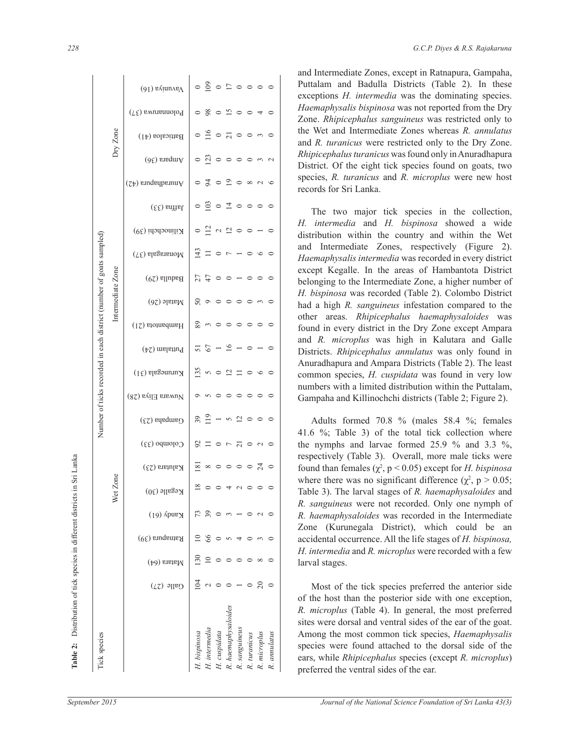| Tick species                                                        |                   |                                                                            | H. intermedia<br>H. cuspidata<br>H. bispinosa                                                                                                                                                                                                                                                                                     |                                                                                      |                                                                                                                                                                        | ears, while Rhipicephalus species (except R. microplus)<br>preferred the ventral sides of the ear.                                                                                                                                  |
|---------------------------------------------------------------------|-------------------|----------------------------------------------------------------------------|-----------------------------------------------------------------------------------------------------------------------------------------------------------------------------------------------------------------------------------------------------------------------------------------------------------------------------------|--------------------------------------------------------------------------------------|------------------------------------------------------------------------------------------------------------------------------------------------------------------------|-------------------------------------------------------------------------------------------------------------------------------------------------------------------------------------------------------------------------------------|
|                                                                     |                   |                                                                            |                                                                                                                                                                                                                                                                                                                                   | R. haemaphysaloides<br>R. sanguineus<br>R. turanicus<br>R. microplus<br>R. annulatus |                                                                                                                                                                        | R. microplus (Table 4). In general, the most preferred<br>sites were dorsal and ventral sides of the ear of the goat.<br>Among the most common tick species, Haemaphysalis<br>species were found attached to the dorsal side of the |
|                                                                     |                   | Galle $(27)$                                                               | $\frac{3}{2}$ $\sim$ $\circ$ $\sim$ $\sim$ $\sim$ $\sim$ $\sim$                                                                                                                                                                                                                                                                   |                                                                                      |                                                                                                                                                                        | Most of the tick species preferred the anterior side<br>of the host than the posterior side with one exception,                                                                                                                     |
|                                                                     |                   | $M$ atara $(64)$                                                           | $\begin{array}{c} 0.00000000 \\ 0.00000000 \\ \end{array}$                                                                                                                                                                                                                                                                        |                                                                                      |                                                                                                                                                                        | larval stages.                                                                                                                                                                                                                      |
|                                                                     |                   | Ratnapura $(39)$                                                           | $\begin{array}{c} 2 & 8 & 0 \\ 0 & 0 & 0 \\ 0 & 0 & 0 \\ 0 & 0 & 0 \\ 0 & 0 & 0 \\ 0 & 0 & 0 \\ 0 & 0 & 0 \\ 0 & 0 & 0 \\ 0 & 0 & 0 \\ 0 & 0 & 0 \\ 0 & 0 & 0 \\ 0 & 0 & 0 \\ 0 & 0 & 0 & 0 \\ 0 & 0 & 0 & 0 \\ 0 & 0 & 0 & 0 \\ 0 & 0 & 0 & 0 & 0 \\ 0 & 0 & 0 & 0 & 0 \\ 0 & 0 & 0 & 0 & 0 \\ 0 & 0 & 0 & 0 & 0 & 0 \\ 0 & 0 &$ |                                                                                      |                                                                                                                                                                        | accidental occurrence. All the life stages of H. bispinosa,<br>H. intermedia and R. microplus were recorded with a few                                                                                                              |
|                                                                     |                   | $(19)$ Apuey                                                               | $R$ $R$ $\circ$ $m - \circ n$                                                                                                                                                                                                                                                                                                     |                                                                                      |                                                                                                                                                                        | R. sanguineus were not recorded. Only one nymph of<br>R. haemaphysaloides was recorded in the Intermediate<br>Zone (Kurunegala District), which could be an                                                                         |
|                                                                     | Wet Zone          | Kegalle $(30)$                                                             | 20040000                                                                                                                                                                                                                                                                                                                          |                                                                                      |                                                                                                                                                                        | where there was no significant difference ( $\chi^2$ , p > 0.05;<br>Table 3). The larval stages of R. haemaphysaloides and                                                                                                          |
|                                                                     |                   | Kalutara (23)                                                              | $\overline{a}$ $\infty$ $\circ$ $\circ$ $\circ$ $\circ$ $\overline{a}$ $\circ$                                                                                                                                                                                                                                                    |                                                                                      |                                                                                                                                                                        | respectively (Table 3). Overall, more male ticks were<br>found than females ( $\chi^2$ , p < 0.05) except for <i>H</i> . bispinosa                                                                                                  |
|                                                                     |                   | $C$ olombo (33)                                                            | $\begin{array}{c} \mathbb{S} \sqcup \circ \mathbb{C} \sqcup \mathbb{C} \sqcup \circ \mathbb{C} \sqcup \circ \mathbb{C} \end{array}$                                                                                                                                                                                               |                                                                                      |                                                                                                                                                                        | Adults formed 70.8 % (males 58.4 %; females<br>41.6 %; Table 3) of the total tick collection where<br>the nymphs and larvae formed $25.9 \%$ and $3.3 \%$ ,                                                                         |
|                                                                     |                   | Nuwara Eliya (28)<br>Gampaha (23)                                          | $29 - 52000$                                                                                                                                                                                                                                                                                                                      |                                                                                      |                                                                                                                                                                        | Gampaha and Killinochchi districts (Table 2; Figure 2).                                                                                                                                                                             |
|                                                                     |                   | Kurunegala $(31)$                                                          | $\frac{5}{1}$ w o $\frac{1}{2}$ = 0 w o                                                                                                                                                                                                                                                                                           |                                                                                      |                                                                                                                                                                        | common species, H. cuspidata was found in very low<br>numbers with a limited distribution within the Puttalam,                                                                                                                      |
|                                                                     |                   | $(\uparrow z)$ untaind                                                     | $55 - 9 - 0 - 0$                                                                                                                                                                                                                                                                                                                  |                                                                                      |                                                                                                                                                                        | Districts. Rhipicephalus annulatus was only found in<br>Anuradhapura and Ampara Districts (Table 2). The least                                                                                                                      |
|                                                                     |                   | Hambantota (21)                                                            | 200000000                                                                                                                                                                                                                                                                                                                         |                                                                                      |                                                                                                                                                                        | found in every district in the Dry Zone except Ampara<br>and R. microplus was high in Kalutara and Galle                                                                                                                            |
|                                                                     |                   | $M$ atale (26)                                                             | 800000000                                                                                                                                                                                                                                                                                                                         |                                                                                      |                                                                                                                                                                        | had a high R. sanguineus infestation compared to the<br>other areas. Rhipicephalus haemaphysaloides was                                                                                                                             |
| Number of ticks recorded in each district (number of goats sampled) | Intermediate Zone | $(67)$ allubad                                                             | $7700 - 000$                                                                                                                                                                                                                                                                                                                      |                                                                                      |                                                                                                                                                                        | except Kegalle. In the areas of Hambantota District<br>belonging to the Intermediate Zone, a higher number of<br>H. bispinosa was recorded (Table 2). Colombo District                                                              |
|                                                                     |                   | $(Y\xi)$ alagaranoM                                                        | $\frac{q}{2}$ $\frac{q}{2}$ $\frac{q}{2}$ $\frac{q}{2}$ $\frac{q}{2}$ $\frac{q}{2}$ $\frac{q}{2}$ $\frac{q}{2}$ $\frac{q}{2}$ $\frac{q}{2}$ $\frac{q}{2}$ $\frac{q}{2}$                                                                                                                                                           |                                                                                      |                                                                                                                                                                        | and Intermediate Zones, respectively (Figure 2).<br>Haemaphysalis intermedia was recorded in every district                                                                                                                         |
|                                                                     |                   | $K$ і<br>іпосраді (39)                                                     | $\circ \stackrel{\sim}{\rightharpoonup} \wedge \stackrel{\sim}{\rightharpoonup} \circ \circ - \circ$                                                                                                                                                                                                                              |                                                                                      |                                                                                                                                                                        | H. intermedia and H. bispinosa showed a wide<br>distribution within the country and within the Wet                                                                                                                                  |
|                                                                     |                   | $J$ affna $(33)$                                                           | $\circ \stackrel{\circ}{\circ} \circ \stackrel{\star}{\circ} \circ \circ \circ \circ$                                                                                                                                                                                                                                             |                                                                                      |                                                                                                                                                                        | The two major tick species in the collection,                                                                                                                                                                                       |
| Dry Zone                                                            |                   | $(7)$ emdeqperative                                                        | $\begin{array}{c}\n0 & \text{if } 0 & \text{if } 0 & \text{if } 0 & \text{if } 0 \\ \text{if } 0 & \text{if } 0 & \text{if } 0 & \text{if } 0 & \text{if } 0\n\end{array}$                                                                                                                                                        |                                                                                      |                                                                                                                                                                        | species, R. turanicus and R. microplus were new host<br>records for Sri Lanka.                                                                                                                                                      |
|                                                                     | $(9\xi)$ enedury  | $\circ \stackrel{m}{\sim} \circ \circ \circ \circ \circ \circ \circ \circ$ |                                                                                                                                                                                                                                                                                                                                   |                                                                                      | Rhipicephalus turanicus was found only in Anuradhapura<br>District. Of the eight tick species found on goats, two                                                      |                                                                                                                                                                                                                                     |
|                                                                     | Batticaloa (41)   | $0 \leq 0 \leq 0 \leq n$                                                   |                                                                                                                                                                                                                                                                                                                                   |                                                                                      | Zone. Rhipicephalus sanguineus was restricted only to<br>the Wet and Intermediate Zones whereas R. annulatus<br>and R. turanicus were restricted only to the Dry Zone. |                                                                                                                                                                                                                                     |
|                                                                     |                   | $(7\epsilon)$ swuramolo <sup>q</sup>                                       | 080100000                                                                                                                                                                                                                                                                                                                         |                                                                                      |                                                                                                                                                                        | exceptions <i>H. intermedia</i> was the dominating species.<br>Haemaphysalis bispinosa was not reported from the Dry                                                                                                                |
|                                                                     |                   | $(91)$ gyinvas $V$                                                         | $\circ\circ\circ\circ\circ\circ\circ\circ$                                                                                                                                                                                                                                                                                        |                                                                                      |                                                                                                                                                                        | Puttalam and Badulla Districts (Table 2). In these                                                                                                                                                                                  |

and Intermediate Zones, except in Ratnapura, Gampaha, Puttalam and Badulla Districts (Table 2). In these exceptions *H. intermedia* was the dominating species. *Haemaphysalis bispinosa* was not reported from the Dry Zone. *Rhipicephalus sanguineus* was restricted only to the Wet and Intermediate Zones whereas *R. annulatus* and *R. turanicus* were restricted only to the Dry Zone. *Rhipicephalus turanicus* was found only in Anuradhapura District. Of the eight tick species found on goats, two species, *R. turanicus* and *R. microplus* were new host records for Sri Lanka.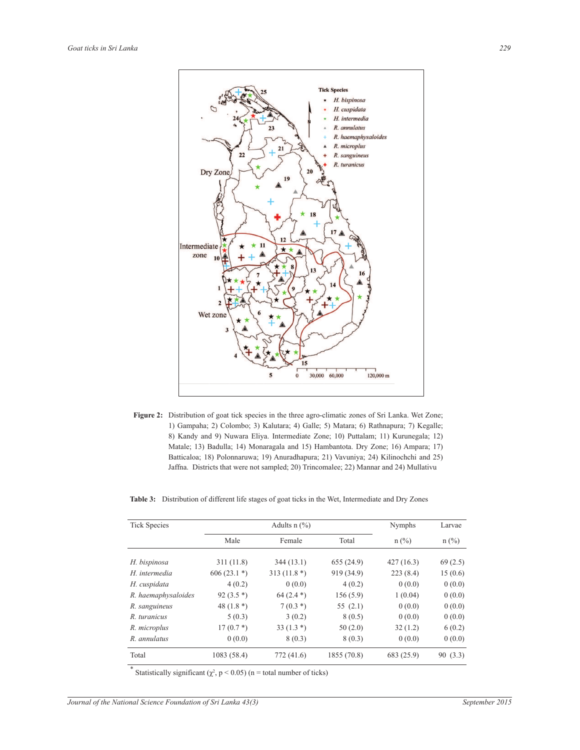

**Figure 2:** Distribution of goat tick species in the three agro-climatic zones of Sri Lanka. Wet Zone; 1) Gampaha; 2) Colombo; 3) Kalutara; 4) Galle; 5) Matara; 6) Rathnapura; 7) Kegalle; 8) Kandy and 9) Nuwara Eliya. Intermediate Zone; 10) Puttalam; 11) Kurunegala; 12) Matale; 13) Badulla; 14) Monaragala and 15) Hambantota. Dry Zone; 16) Ampara; 17) Batticaloa; 18) Polonnaruwa; 19) Anuradhapura; 21) Vavuniya; 24) Kilinochchi and 25) Jaffna. Districts that were not sampled; 20) Trincomalee; 22) Mannar and 24) Mullativu

| <b>Tick Species</b> |              | Adults $n$ (%) | <b>Nymphs</b> | Larvae     |          |  |
|---------------------|--------------|----------------|---------------|------------|----------|--|
|                     | Male         | Female         | Total         | $n$ (%)    | $n$ (%)  |  |
| H. bispinosa        | 311(11.8)    | 344(13.1)      | 655(24.9)     | 427(16.3)  | 69(2.5)  |  |
| H. intermedia       | $606(23.1*)$ | 313 $(11.8*)$  | 919 (34.9)    | 223(8.4)   | 15(0.6)  |  |
| H. cuspidata        | 4(0.2)       | 0(0.0)         | 4(0.2)        | 0(0.0)     | 0(0.0)   |  |
| R. haemaphysaloides | 92 $(3.5*)$  | $64(2.4*)$     | 156(5.9)      | 1(0.04)    | 0(0.0)   |  |
| R. sanguineus       | 48 $(1.8*)$  | $7(0.3*)$      | 55 $(2.1)$    | 0(0.0)     | 0(0.0)   |  |
| R. turanicus        | 5(0.3)       | 3(0.2)         | 8(0.5)        | 0(0.0)     | 0(0.0)   |  |
| R. microplus        | $17(0.7*)$   | 33 $(1.3*)$    | 50(2.0)       | 32(1.2)    | 6(0.2)   |  |
| R. annulatus        | 0(0.0)       | 8(0.3)         | 8(0.3)        | 0(0.0)     | 0(0.0)   |  |
| Total               | 1083 (58.4)  | 772 (41.6)     | 1855 (70.8)   | 683 (25.9) | 90 (3.3) |  |

\* Statistically significant  $(\chi^2, p \le 0.05)$  (n = total number of ticks)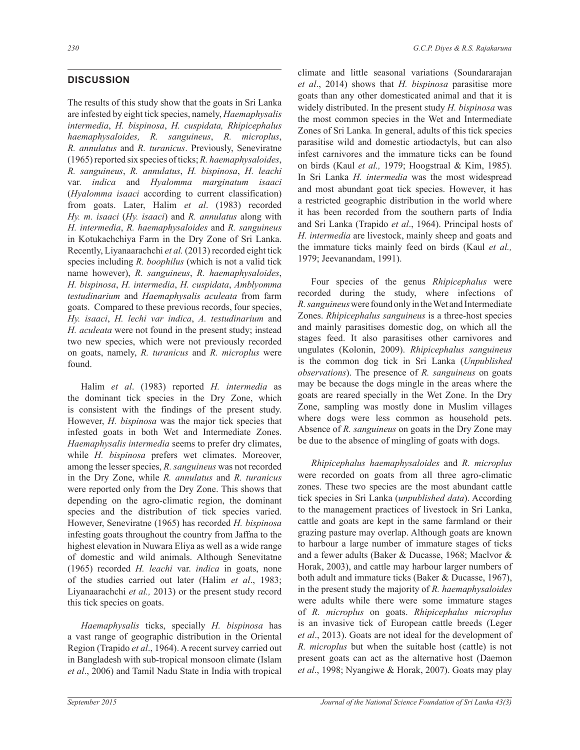# **DISCUSSION**

The results of this study show that the goats in Sri Lanka are infested by eight tick species, namely, *Haemaphysalis intermedia*, *H. bispinosa*, *H. cuspidata, Rhipicephalus haemaphysaloides, R. sanguineus*, *R. microplus*, *R. annulatus* and *R. turanicus*. Previously, Seneviratne (1965) reported six species of ticks; *R. haemaphysaloides*, *R. sanguineus*, *R. annulatus*, *H. bispinosa*, *H. leachi*  var. *indica* and *Hyalomma marginatum isaaci*  (*Hyalomma isaaci* according to current classification) from goats. Later, Halim *et al*. (1983) recorded *Hy. m. isaaci* (*Hy. isaaci*) and *R. annulatus* along with *H. intermedia*, *R. haemaphysaloides* and *R. sanguineus*  in Kotukachchiya Farm in the Dry Zone of Sri Lanka. Recently, Liyanaarachchi *et al.* (2013) recorded eight tick species including *R. boophilus* (which is not a valid tick name however), *R. sanguineus*, *R. haemaphysaloides*, *H. bispinosa*, *H. intermedia*, *H. cuspidata*, *Amblyomma testudinarium* and *Haemaphysalis aculeata* from farm goats. Compared to these previous records, four species, *Hy. isaaci*, *H. lechi var indica*, *A. testudinarium* and *H. aculeata* were not found in the present study; instead two new species, which were not previously recorded on goats, namely, *R. turanicus* and *R. microplus* were found.

 Halim *et al*. (1983) reported *H. intermedia* as the dominant tick species in the Dry Zone, which is consistent with the findings of the present study. However, *H. bispinosa* was the major tick species that infested goats in both Wet and Intermediate Zones. *Haemaphysalis intermedia* seems to prefer dry climates, while *H. bispinosa* prefers wet climates. Moreover, among the lesser species, *R. sanguineus* was not recorded in the Dry Zone, while *R. annulatus* and *R. turanicus* were reported only from the Dry Zone. This shows that depending on the agro-climatic region, the dominant species and the distribution of tick species varied. However, Seneviratne (1965) has recorded *H. bispinosa* infesting goats throughout the country from Jaffna to the highest elevation in Nuwara Eliya as well as a wide range of domestic and wild animals. Although Senevitatne (1965) recorded *H. leachi* var. *indica* in goats, none of the studies carried out later (Halim *et al*., 1983; Liyanaarachchi *et al.,* 2013) or the present study record this tick species on goats.

 *Haemaphysalis* ticks, specially *H. bispinosa* has a vast range of geographic distribution in the Oriental Region (Trapido *et al*., 1964). A recent survey carried out in Bangladesh with sub-tropical monsoon climate (Islam *et al*., 2006) and Tamil Nadu State in India with tropical climate and little seasonal variations (Soundararajan *et al*., 2014) shows that *H. bispinosa* parasitise more goats than any other domesticated animal and that it is widely distributed. In the present study *H. bispinosa* was the most common species in the Wet and Intermediate Zones of Sri Lanka*.* In general, adults of this tick species parasitise wild and domestic artiodactyls, but can also infest carnivores and the immature ticks can be found on birds (Kaul *et al.,* 1979; Hoogstraal & Kim, 1985). In Sri Lanka *H. intermedia* was the most widespread and most abundant goat tick species. However, it has a restricted geographic distribution in the world where it has been recorded from the southern parts of India and Sri Lanka (Trapido *et al*., 1964). Principal hosts of *H. intermedia* are livestock, mainly sheep and goats and the immature ticks mainly feed on birds (Kaul *et al.,* 1979; Jeevanandam, 1991).

 Four species of the genus *Rhipicephalus* were recorded during the study, where infections of *R. sanguineus* were found only in the Wet and Intermediate Zones. *Rhipicephalus sanguineus* is a three-host species and mainly parasitises domestic dog, on which all the stages feed. It also parasitises other carnivores and ungulates (Kolonin, 2009). *Rhipicephalus sanguineus*  is the common dog tick in Sri Lanka (*Unpublished observations*). The presence of *R. sanguineus* on goats may be because the dogs mingle in the areas where the goats are reared specially in the Wet Zone. In the Dry Zone, sampling was mostly done in Muslim villages where dogs were less common as household pets. Absence of *R. sanguineus* on goats in the Dry Zone may be due to the absence of mingling of goats with dogs.

 *Rhipicephalus haemaphysaloides* and *R. microplus* were recorded on goats from all three agro-climatic zones. These two species are the most abundant cattle tick species in Sri Lanka (*unpublished data*). According to the management practices of livestock in Sri Lanka, cattle and goats are kept in the same farmland or their grazing pasture may overlap. Although goats are known to harbour a large number of immature stages of ticks and a fewer adults (Baker & Ducasse, 1968; Maclvor & Horak, 2003), and cattle may harbour larger numbers of both adult and immature ticks (Baker & Ducasse, 1967), in the present study the majority of *R. haemaphysaloides* were adults while there were some immature stages of *R. microplus* on goats. *Rhipicephalus microplus* is an invasive tick of European cattle breeds (Leger *et al*., 2013). Goats are not ideal for the development of *R. microplus* but when the suitable host (cattle) is not present goats can act as the alternative host (Daemon *et al*., 1998; Nyangiwe & Horak, 2007). Goats may play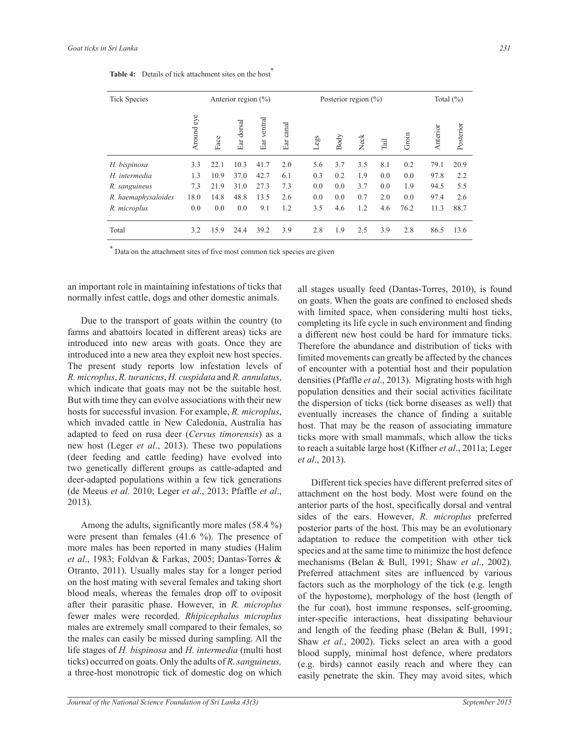| <b>Tick Species</b>                                                               |               |      | Posterior region $(\% )$          |                |              |      |      | Total $(\% )$ |      |       |          |           |
|-----------------------------------------------------------------------------------|---------------|------|-----------------------------------|----------------|--------------|------|------|---------------|------|-------|----------|-----------|
|                                                                                   | eye<br>Around | Face | dorsal<br>$\mathop{\mathrm{Ear}}$ | ventral<br>Ear | canal<br>Ear | Legs | Body | Neck          | Tail | Groin | Anterior | Posterior |
| H. bispinosa                                                                      | 3.3           | 22.1 | 10.3                              | 41.7           | 2.0          | 5.6  | 3.7  | 3.5           | 8.1  | 0.2   | 79.1     | 20.9      |
| H. intermedia                                                                     | 1.3           | 10.9 | 37.0                              | 42.7           | 6.1          | 0.3  | 0.2  | 1.9           | 0.0  | 0.0   | 97.8     | 2.2       |
| R. sanguineus                                                                     | 7.3           | 21.9 | 31.0                              | 27.3           | 7.3          | 0.0  | 0.0  | 3.7           | 0.0  | 1.9   | 94.5     | 5.5       |
| R. haemaphysaloides                                                               | 18.0          | 14.8 | 48.8                              | 13.5           | 2.6          | 0.0  | 0.0  | 0.7           | 2.0  | 0.0   | 97.4     | 2.6       |
| R. microplus                                                                      | 0.0           | 0.0  | 0.0                               | 9.1            | 1.2          | 3.5  | 4.6  | 1.2           | 4.6  | 76.2  | 11.3     | 88.7      |
| Total                                                                             | 3.2           | 15.9 | 24.4                              | 39.2           | 3.9          | 2.8  | 1.9  | 2.5           | 3.9  | 2.8   | 86.5     | 13.6      |
| $\ast$<br>Data on the attachment sites of five most common tick species are given |               |      |                                   |                |              |      |      |               |      |       |          |           |

Table 4: Details of tick attachment sites on the host<sup>\*</sup>

an important role in maintaining infestations of ticks that normally infest cattle, dogs and other domestic animals.

 Due to the transport of goats within the country (to farms and abattoirs located in different areas) ticks are introduced into new areas with goats. Once they are introduced into a new area they exploit new host species. The present study reports low infestation levels of *R. microplus*, *R. turanicus*, *H. cuspidata* and *R. annulatus*, which indicate that goats may not be the suitable host. But with time they can evolve associations with their new hosts for successful invasion. For example, *R. microplus*, which invaded cattle in New Caledonia, Australia has adapted to feed on rusa deer (*Cervus timorensis*) as a new host (Leger *et al*., 2013). These two populations (deer feeding and cattle feeding) have evolved into two genetically different groups as cattle-adapted and deer-adapted populations within a few tick generations (de Meeus *et al.* 2010; Leger *et al*., 2013; Pfaffle *et al*., 2013).

 Among the adults, significantly more males (58.4 %) were present than females (41.6 %). The presence of more males has been reported in many studies (Halim *et al*., 1983; Foldvan & Farkas, 2005; Dantas-Torres & Otranto, 2011). Usually males stay for a longer period on the host mating with several females and taking short blood meals, whereas the females drop off to oviposit after their parasitic phase. However, in *R. microplus* fewer males were recorded. *Rhipicephalus microplus* males are extremely small compared to their females, so the males can easily be missed during sampling. All the life stages of *H. bispinosa* and *H. intermedia* (multi host ticks) occurred on goats. Only the adults of *R. sanguineus,*  a three-host monotropic tick of domestic dog on which

all stages usually feed (Dantas-Torres, 2010), is found on goats. When the goats are confined to enclosed sheds with limited space, when considering multi host ticks, completing its life cycle in such environment and finding a different new host could be hard for immature ticks. Therefore the abundance and distribution of ticks with limited movements can greatly be affected by the chances of encounter with a potential host and their population densities (Pfaffle *et al*., 2013). Migrating hosts with high population densities and their social activities facilitate the dispersion of ticks (tick borne diseases as well) that eventually increases the chance of finding a suitable host. That may be the reason of associating immature ticks more with small mammals, which allow the ticks to reach a suitable large host (Kiffner *et al*., 2011a; Leger *et al*., 2013).

 Different tick species have different preferred sites of attachment on the host body. Most were found on the anterior parts of the host, specifically dorsal and ventral sides of the ears. However, *R*. *microplus* preferred posterior parts of the host. This may be an evolutionary adaptation to reduce the competition with other tick species and at the same time to minimize the host defence mechanisms (Belan & Bull, 1991; Shaw *et al*., 2002). Preferred attachment sites are influenced by various factors such as the morphology of the tick (e.g. length of the hypostome), morphology of the host (length of the fur coat), host immune responses, self-grooming, inter-specific interactions, heat dissipating behaviour and length of the feeding phase (Belan & Bull, 1991; Shaw *et al*., 2002). Ticks select an area with a good blood supply, minimal host defence, where predators (e.g. birds) cannot easily reach and where they can easily penetrate the skin. They may avoid sites, which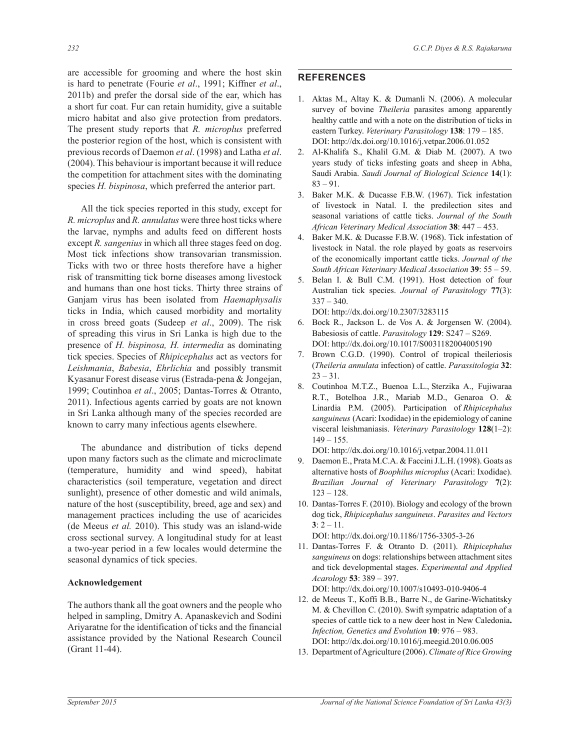are accessible for grooming and where the host skin is hard to penetrate (Fourie *et al*., 1991; Kiffner *et al*., 2011b) and prefer the dorsal side of the ear, which has a short fur coat. Fur can retain humidity, give a suitable micro habitat and also give protection from predators. The present study reports that *R. microplus* preferred the posterior region of the host, which is consistent with previous records of Daemon *et al*. (1998) and Latha *et al*. (2004). This behaviour is important because it will reduce the competition for attachment sites with the dominating species *H. bispinosa*, which preferred the anterior part.

 All the tick species reported in this study, except for *R. microplus* and *R. annulatus* were three host ticks where the larvae, nymphs and adults feed on different hosts except *R. sangenius* in which all three stages feed on dog. Most tick infections show transovarian transmission. Ticks with two or three hosts therefore have a higher risk of transmitting tick borne diseases among livestock and humans than one host ticks. Thirty three strains of Ganjam virus has been isolated from *Haemaphysalis* ticks in India, which caused morbidity and mortality in cross breed goats (Sudeep *et al*., 2009). The risk of spreading this virus in Sri Lanka is high due to the presence of *H. bispinosa, H. intermedia* as dominating tick species. Species of *Rhipicephalus* act as vectors for *Leishmania*, *Babesia*, *Ehrlichia* and possibly transmit Kyasanur Forest disease virus (Estrada-pena & Jongejan, 1999; Coutinhoa *et al*., 2005; Dantas-Torres & Otranto, 2011). Infectious agents carried by goats are not known in Sri Lanka although many of the species recorded are known to carry many infectious agents elsewhere.

 The abundance and distribution of ticks depend upon many factors such as the climate and microclimate (temperature, humidity and wind speed), habitat characteristics (soil temperature, vegetation and direct sunlight), presence of other domestic and wild animals, nature of the host (susceptibility, breed, age and sex) and management practices including the use of acaricides (de Meeus *et al.* 2010). This study was an island-wide cross sectional survey. A longitudinal study for at least a two-year period in a few locales would determine the seasonal dynamics of tick species.

## **Acknowledgement**

The authors thank all the goat owners and the people who helped in sampling, Dmitry A. Apanaskevich and Sodini Ariyaratne for the identification of ticks and the financial assistance provided by the National Research Council (Grant 11-44).

# **REFERENCES**

- 1. Aktas M., Altay K. & Dumanli N. (2006). A molecular survey of bovine *Theileria* parasites among apparently healthy cattle and with a note on the distribution of ticks in eastern Turkey. *Veterinary Parasitology* **138**: 179 – 185. DOI: http://dx.doi.org/10.1016/j.vetpar.2006.01.052
- 2. Al-Khalifa S., Khalil G.M. & Diab M. (2007). A two years study of ticks infesting goats and sheep in Abha, Saudi Arabia. *Saudi Journal of Biological Science* **14**(1): 83 – 91.
- 3. Baker M.K. & Ducasse F.B.W. (1967). Tick infestation of livestock in Natal. I. the predilection sites and seasonal variations of cattle ticks. *Journal of the South African Veterinary Medical Association* **38**: 447 – 453.
- 4. Baker M.K. & Ducasse F.B.W. (1968). Tick infestation of livestock in Natal. the role played by goats as reservoirs of the economically important cattle ticks. *Journal of the South African Veterinary Medical Association* **39**: 55 – 59.
- 5. Belan I. & Bull C.M. (1991). Host detection of four Australian tick species. *Journal of Parasitology* **77**(3):  $337 - 340.$

DOI: http://dx.doi.org/10.2307/3283115

- 6. Bock R., Jackson L. de Vos A. & Jorgensen W. (2004). Babesiosis of cattle. *Parasitology* **129**: S247 – S269. DOI: http://dx.doi.org/10.1017/S0031182004005190
- 7. Brown C.G.D. (1990). Control of tropical theileriosis (*Theileria annulata* infection) of cattle. *Parassitologia* **32**:  $23 - 31$ .
- 8. Coutinhoa M.T.Z., Buenoa L.L., Sterzika A., Fujiwaraa R.T., Botelhoa J.R., Mariab M.D., Genaroa O. & Linardia P.M. (2005). Participation of *Rhipicephalus sanguineus* (Acari: Ixodidae) in the epidemiology of canine visceral leishmaniasis. *Veterinary Parasitology* **128**(1–2):  $149 - 155$ .

DOI: http://dx.doi.org/10.1016/j.vetpar.2004.11.011

- 9. Daemon E., Prata M.C.A. & Faccini J.L.H. (1998). Goats as alternative hosts of *Boophilus microplus* (Acari: Ixodidae). *Brazilian Journal of Veterinary Parasitology* **7**(2): 123 *–* 128.
- 10. Dantas-Torres F. (2010). Biology and ecology of the brown dog tick, *Rhipicephalus sanguineus*. *Parasites and Vectors*  $3: 2 - 11.$

DOI: http://dx.doi.org/10.1186/1756-3305-3-26

11. Dantas-Torres F. & Otranto D. (2011). *Rhipicephalus sanguineus* on dogs: relationships between attachment sites and tick developmental stages. *Experimental and Applied Acarology* **53**: 389 – 397.

DOI: http://dx.doi.org/10.1007/s10493-010-9406-4

- 12. de Meeus T., Koffi B.B., Barre N., de Garine-Wichatitsky M. & Chevillon C. (2010). Swift sympatric adaptation of a species of cattle tick to a new deer host in New Caledonia**.** *Infection, Genetics and Evolution* **10**: 976 – 983. DOI: http://dx.doi.org/10.1016/j.meegid.2010.06.005
- 13. Department of Agriculture (2006). *Climate of Rice Growing*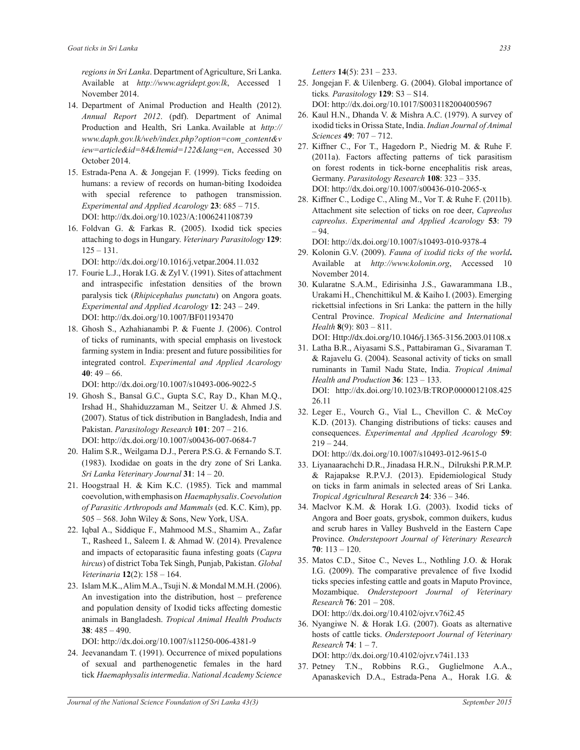*regions in Sri Lanka*. Department of Agriculture, Sri Lanka. Available at *http://www.agridept.gov.lk*, Accessed 1 November 2014.

- 14. Department of Animal Production and Health (2012). *Annual Report 2012*. (pdf). Department of Animal Production and Health, Sri Lanka. Available at *http:// www.daph.gov.lk/web/index.php?option=com\_content&v iew=article&id=84&Itemid=122&lang=en*, Accessed 30 October 2014.
- 15. Estrada-Pena A. & Jongejan F. (1999). Ticks feeding on humans: a review of records on human-biting Ixodoidea with special reference to pathogen transmission. *Experimental and Applied Acarology* **23**: 685 – 715. DOI: http://dx.doi.org/10.1023/A:1006241108739
- 16. Foldvan G. & Farkas R. (2005). Ixodid tick species attaching to dogs in Hungary. *Veterinary Parasitology* **129**:  $125 - 131$ .

DOI: http://dx.doi.org/10.1016/j.vetpar.2004.11.032

- 17. Fourie L.J., Horak I.G. & Zyl V. (1991). Sites of attachment and intraspecific infestation densities of the brown paralysis tick (*Rhipicephalus punctatu*) on Angora goats. *Experimental and Applied Acarology* **12**: 243 – 249. DOI: http://dx.doi.org/10.1007/BF01193470
- 18. Ghosh S., Azhahianambi P. & Fuente J. (2006). Control of ticks of ruminants, with special emphasis on livestock farming system in India: present and future possibilities for integrated control. *Experimental and Applied Acarology* **40**: 49 – 66.

DOI: http://dx.doi.org/10.1007/s10493-006-9022-5

- 19. Ghosh S., Bansal G.C., Gupta S.C, Ray D., Khan M.Q., Irshad H., Shahiduzzaman M., Seitzer U. & Ahmed J.S. (2007). Status of tick distribution in Bangladesh, India and Pakistan. *Parasitology Research* **101**: 207 – 216. DOI: http://dx.doi.org/10.1007/s00436-007-0684-7
- 20. Halim S.R., Weilgama D.J., Perera P.S.G. & Fernando S.T. (1983). Ixodidae on goats in the dry zone of Sri Lanka. *Sri Lanka Veterinary Journal* **31**: 14 – 20.
- 21. Hoogstraal H. & Kim K.C. (1985). Tick and mammal coevolution, with emphasis on *Haemaphysalis*. *Coevolution of Parasitic Arthropods and Mammals* (ed. K.C. Kim), pp. 505 – 568. John Wiley & Sons, New York, USA.
- 22. Iqbal A., Siddique F., Mahmood M.S., Shamim A., Zafar T., Rasheed I., Saleem I. & Ahmad W. (2014). Prevalence and impacts of ectoparasitic fauna infesting goats (*Capra hircus*) of district Toba Tek Singh, Punjab, Pakistan. *Global Veterinaria* **12**(2): 158 – 164.
- 23. Islam M.K., Alim M.A., Tsuji N. & Mondal M.M.H. (2006). An investigation into the distribution, host – preference and population density of Ixodid ticks affecting domestic animals in Bangladesh. *Tropical Animal Health Products* **38**: 485 – 490.

DOI: http://dx.doi.org/10.1007/s11250-006-4381-9

24. Jeevanandam T. (1991). Occurrence of mixed populations of sexual and parthenogenetic females in the hard tick *Haemaphysalis intermedia*. *National Academy Science*  *Letters* **14**(5): 231 – 233.

25. Jongejan F. & Uilenberg. G. (2004). Global importance of ticks*. Parasitology* **129**: S3 – S14. DOI: http://dx.doi.org/10.1017/S0031182004005967

- 26. Kaul H.N., Dhanda V. & Mishra A.C. (1979). A survey of ixodid ticks in Orissa State, India. *Indian Journal of Animal Sciences* **49**: 707 – 712.
- 27. Kiffner C., For T., Hagedorn P., Niedrig M. & Ruhe F. (2011a). Factors affecting patterns of tick parasitism on forest rodents in tick-borne encephalitis risk areas, Germany. *Parasitology Research* **108**: 323 – 335. DOI: http://dx.doi.org/10.1007/s00436-010-2065-x
- 28. Kiffner C., Lodige C., Aling M., Vor T. & Ruhe F. (2011b). Attachment site selection of ticks on roe deer, *Capreolus capreolus*. *Experimental and Applied Acarology* **53**: 79 – 94.

DOI: http://dx.doi.org/10.1007/s10493-010-9378-4

- 29. Kolonin G.V. (2009). *Fauna of ixodid ticks of the world***.**  Available at *http://www.kolonin.org*, Accessed 10 November 2014.
- 30. Kularatne S.A.M., Edirisinha J.S., Gawarammana I.B., Urakami H., Chenchittikul M. & Kaiho I. (2003). Emerging rickettsial infections in Sri Lanka: the pattern in the hilly Central Province. *Tropical Medicine and International Health* **8**(9): 803 – 811.

DOI: Http://dx.doi.org/10.1046/j.1365-3156.2003.01108.x

- 31. Latha B.R., Aiyasami S.S., Pattabiraman G., Sivaraman T. & Rajavelu G. (2004). Seasonal activity of ticks on small ruminants in Tamil Nadu State, India. *Tropical Animal Health and Production* **36**: 123 – 133. DOI: http://dx.doi.org/10.1023/B:TROP.0000012108.425 26.11
- 32. Leger E., Vourch G., Vial L., Chevillon C. & McCoy K.D. (2013). Changing distributions of ticks: causes and consequences. *Experimental and Applied Acarology* **59**:  $219 - 244.$

DOI: http://dx.doi.org/10.1007/s10493-012-9615-0

- 33. Liyanaarachchi D.R., Jinadasa H.R.N., Dilrukshi P.R.M.P. & Rajapakse R.P.V.J. (2013). Epidemiological Study on ticks in farm animals in selected areas of Sri Lanka. *Tropical Agricultural Research* **24**: 336 – 346.
- 34. Maclvor K.M. & Horak I.G. (2003). Ixodid ticks of Angora and Boer goats, grysbok, common duikers, kudus and scrub hares in Valley Bushveld in the Eastern Cape Province. *Onderstepoort Journal of Veterinary Research* **70**: 113 – 120.
- 35. Matos C.D., Sitoe C., Neves L., Nothling J.O. & Horak I.G. (2009). The comparative prevalence of five Ixodid ticks species infesting cattle and goats in Maputo Province, Mozambique. *Onderstepoort Journal of Veterinary Research* **76**: 201 – 208. DOI: http://dx.doi.org/10.4102/ojvr.v76i2.45

36. Nyangiwe N. & Horak I.G. (2007). Goats as alternative hosts of cattle ticks. *Onderstepoort Journal of Veterinary Research* **74**: 1 – 7.

DOI: http://dx.doi.org/10.4102/ojvr.v74i1.133

37. Petney T.N., Robbins R.G., Guglielmone A.A., Apanaskevich D.A., Estrada-Pena A., Horak I.G. &